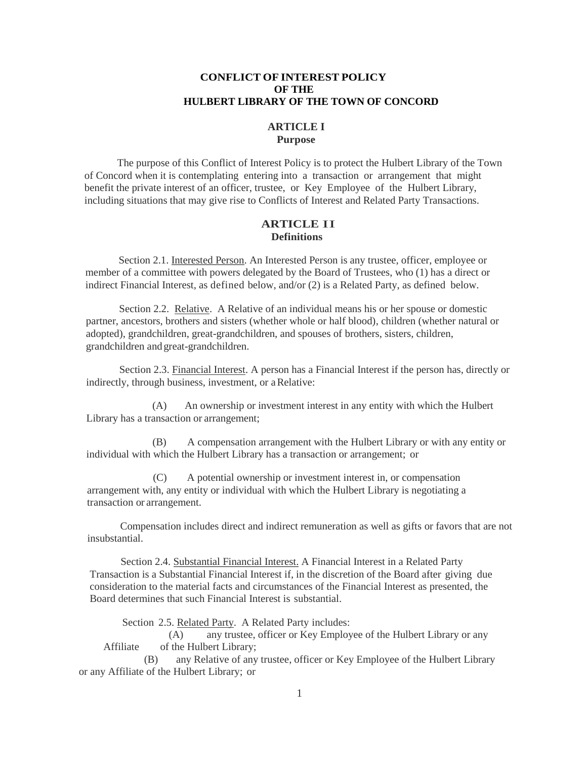## **CONFLICT OF INTEREST POLICY OF THE HULBERT LIBRARY OF THE TOWN OF CONCORD**

#### **ARTICLE I Purpose**

The purpose of this Conflict of Interest Policy is to protect the Hulbert Library of the Town of Concord when it is contemplating entering into a transaction or arrangement that might benefit the private interest of an officer, trustee, or Key Employee of the Hulbert Library, including situations that may give rise to Conflicts of Interest and Related Party Transactions.

# **ARTICLE** II **Definitions**

Section 2.1. Interested Person. An Interested Person is any trustee, officer, employee or member of a committee with powers delegated by the Board of Trustees, who (1) has a direct or indirect Financial Interest, as defined below, and/or (2) is a Related Party, as defined below.

Section 2.2. Relative. A Relative of an individual means his or her spouse or domestic partner, ancestors, brothers and sisters (whether whole or half blood), children (whether natural or adopted), grandchildren, great-grandchildren, and spouses of brothers, sisters, children, grandchildren andgreat-grandchildren.

Section 2.3. Financial Interest. A person has a Financial Interest if the person has, directly or indirectly, through business, investment, or aRelative:

(A) An ownership or investment interest in any entity with which the Hulbert Library has a transaction or arrangement;

(B) A compensation arrangement with the Hulbert Library or with any entity or individual with which the Hulbert Library has a transaction or arrangement; or

(C) A potential ownership or investment interest in, or compensation arrangement with, any entity or individual with which the Hulbert Library is negotiating a transaction or arrangement.

Compensation includes direct and indirect remuneration as well as gifts or favors that are not insubstantial.

Section 2.4. Substantial Financial Interest. A Financial Interest in a Related Party Transaction is a Substantial Financial Interest if, in the discretion of the Board after giving due consideration to the material facts and circumstances of the Financial Interest as presented, the Board determines that such Financial Interest is substantial.

Section 2.5. Related Party. A Related Party includes:

(A) any trustee, officer or Key Employee of the Hulbert Library or any Affiliate of the Hulbert Library;

(B) any Relative of any trustee, officer or Key Employee of the Hulbert Library or any Affiliate of the Hulbert Library; or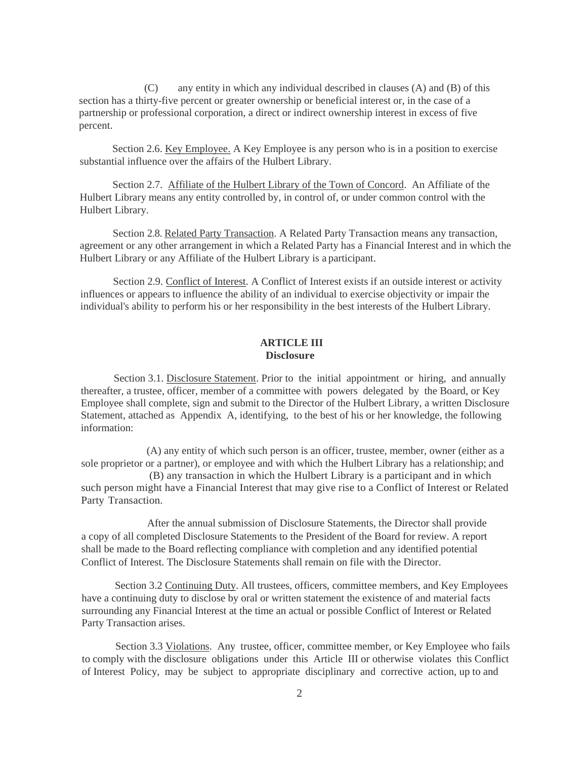(C) any entity in which any individual described in clauses (A) and (B) of this section has a thirty-five percent or greater ownership or beneficial interest or, in the case of a partnership or professional corporation, a direct or indirect ownership interest in excess of five percent.

Section 2.6. Key Employee. A Key Employee is any person who is in a position to exercise substantial influence over the affairs of the Hulbert Library.

Section 2.7. Affiliate of the Hulbert Library of the Town of Concord. An Affiliate of the Hulbert Library means any entity controlled by, in control of, or under common control with the Hulbert Library.

Section 2.8. Related Party Transaction. A Related Party Transaction means any transaction, agreement or any other arrangement in which a Related Party has a Financial Interest and in which the Hulbert Library or any Affiliate of the Hulbert Library is a participant.

Section 2.9. Conflict of Interest. A Conflict of Interest exists if an outside interest or activity influences or appears to influence the ability of an individual to exercise objectivity or impair the individual's ability to perform his or her responsibility in the best interests of the Hulbert Library.

## **ARTICLE III Disclosure**

Section 3.1. Disclosure Statement. Prior to the initial appointment or hiring, and annually thereafter, a trustee, officer, member of a committee with powers delegated by the Board, or Key Employee shall complete, sign and submit to the Director of the Hulbert Library, a written Disclosure Statement, attached as Appendix A, identifying, to the best of his or her knowledge, the following information:

(A) any entity of which such person is an officer, trustee, member, owner (either as a sole proprietor or a partner), or employee and with which the Hulbert Library has a relationship; and (B) any transaction in which the Hulbert Library is a participant and in which such person might have a Financial Interest that may give rise to a Conflict of Interest or Related Party Transaction.

After the annual submission of Disclosure Statements, the Director shall provide a copy of all completed Disclosure Statements to the President of the Board for review. A report shall be made to the Board reflecting compliance with completion and any identified potential Conflict of Interest. The Disclosure Statements shall remain on file with the Director.

Section 3.2 Continuing Duty. All trustees, officers, committee members, and Key Employees have a continuing duty to disclose by oral or written statement the existence of and material facts surrounding any Financial Interest at the time an actual or possible Conflict of Interest or Related Party Transaction arises.

Section 3.3 Violations. Any trustee, officer, committee member, or Key Employee who fails to comply with the disclosure obligations under this Article III or otherwise violates this Conflict of Interest Policy, may be subject to appropriate disciplinary and corrective action, up to and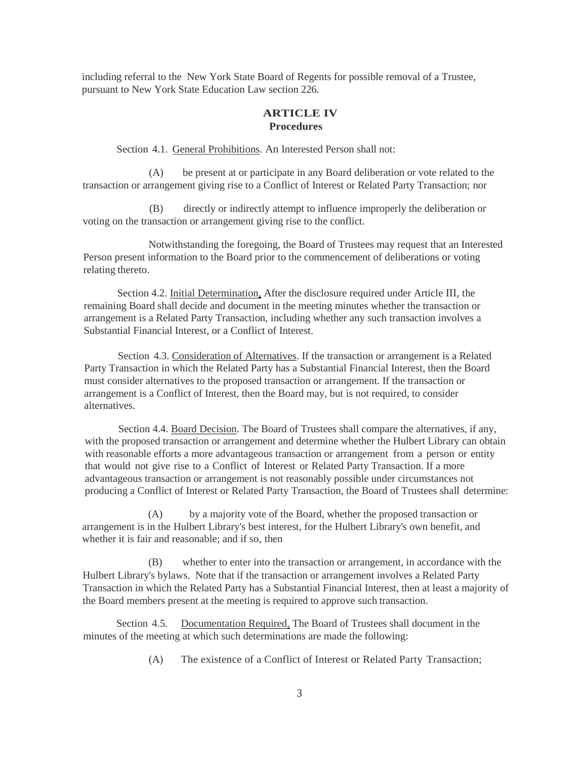including referral to the New York State Board of Regents for possible removal of a Trustee, pursuant to New York State Education Law section 226.

# **ARTICLE IV Procedures**

Section 4.1. General Prohibitions. An Interested Person shall not:

(A) be present at or participate in any Board deliberation or vote related to the transaction or arrangement giving rise to a Conflict of Interest or Related Party Transaction; nor

(B) directly or indirectly attempt to influence improperly the deliberation or voting on the transaction or arrangement giving rise to the conflict.

Notwithstanding the foregoing, the Board of Trustees may request that an Interested Person present information to the Board prior to the commencement of deliberations or voting relating thereto.

Section 4.2. Initial Determination. After the disclosure required under Article III, the remaining Board shall decide and document in the meeting minutes whether the transaction or arrangement is a Related Party Transaction, including whether any such transaction involves a Substantial Financial Interest, or a Conflict of Interest.

Section 4.3. Consideration of Alternatives. If the transaction or arrangement is a Related Party Transaction in which the Related Party has a Substantial Financial Interest, then the Board must consider alternatives to the proposed transaction or arrangement. If the transaction or arrangement is a Conflict of Interest, then the Board may, but is not required, to consider alternatives.

Section 4.4. Board Decision. The Board of Trustees shall compare the alternatives, if any, with the proposed transaction or arrangement and determine whether the Hulbert Library can obtain with reasonable efforts a more advantageous transaction or arrangement from a person or entity that would not give rise to a Conflict of Interest or Related Party Transaction. If a more advantageous transaction or arrangement is not reasonably possible under circumstances not producing a Conflict of Interest or Related Party Transaction, the Board of Trustees shall determine:

(A) by a majority vote of the Board, whether the proposed transaction or arrangement is in the Hulbert Library's best interest, for the Hulbert Library's own benefit, and whether it is fair and reasonable; and if so, then

(B) whether to enter into the transaction or arrangement, in accordance with the Hulbert Library's bylaws. Note that if the transaction or arrangement involves a Related Party Transaction in which the Related Party has a Substantial Financial Interest, then at least a majority of the Board members present at the meeting is required to approve such transaction.

Section 4.5. Documentation Required. The Board of Trustees shall document in the minutes of the meeting at which such determinations are made the following:

(A) The existence of a Conflict of Interest or Related Party Transaction;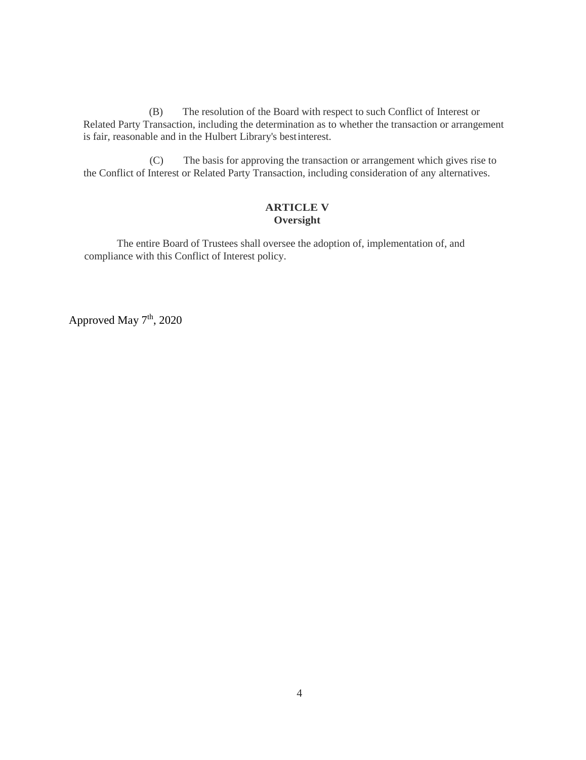(B) The resolution of the Board with respect to such Conflict of Interest or Related Party Transaction, including the determination as to whether the transaction or arrangement is fair, reasonable and in the Hulbert Library's bestinterest.

(C) The basis for approving the transaction or arrangement which gives rise to the Conflict of Interest or Related Party Transaction, including consideration of any alternatives.

## **ARTICLE V Oversight**

The entire Board of Trustees shall oversee the adoption of, implementation of, and compliance with this Conflict of Interest policy.

Approved May 7<sup>th</sup>, 2020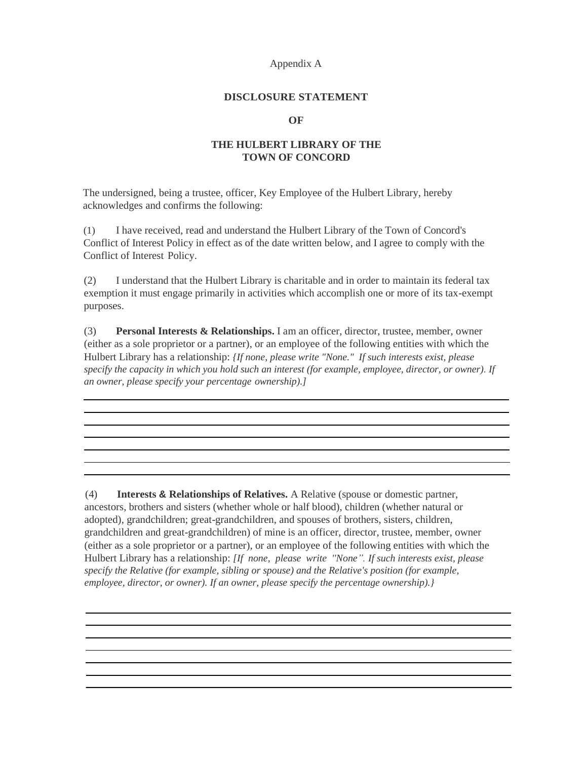#### Appendix A

## **DISCLOSURE STATEMENT**

#### **OF**

## **THE HULBERT LIBRARY OF THE TOWN OF CONCORD**

The undersigned, being a trustee, officer, Key Employee of the Hulbert Library, hereby acknowledges and confirms the following:

(1) I have received, read and understand the Hulbert Library of the Town of Concord's Conflict of Interest Policy in effect as of the date written below, and I agree to comply with the Conflict of Interest Policy.

(2) I understand that the Hulbert Library is charitable and in order to maintain its federal tax exemption it must engage primarily in activities which accomplish one or more of its tax-exempt purposes.

(3) **Personal Interests & Relationships.** I am an officer, director, trustee, member, owner (either as a sole proprietor or a partner), or an employee of the following entities with which the Hulbert Library has a relationship: *{If none, please write "None." If such interests exist, please specify the capacity in which you hold such an interest (for example, employee, director, or owner). If an owner, please specify your percentage ownership).]*

<u> 1989 - Johann Stoff, amerikansk politiker (d. 1989)</u>

<u> 1989 - Andrea Station Barbara, actor a component de la componentación de la componentación de la componentaci</u>

and the control of the control of the control of the control of the control of the control of the control of the

(4) **Interests & Relationships of Relatives.** A Relative (spouse or domestic partner, ancestors, brothers and sisters (whether whole or half blood), children (whether natural or adopted), grandchildren; great-grandchildren, and spouses of brothers, sisters, children, grandchildren and great-grandchildren) of mine is an officer, director, trustee, member, owner (either as a sole proprietor or a partner), or an employee of the following entities with which the Hulbert Library has a relationship: *[If none, please write ''None". If such interests exist, please specify the Relative (for example, sibling or spouse) and the Relative's position (for example, employee, director, or owner). If an owner, please specify the percentage ownership).}*